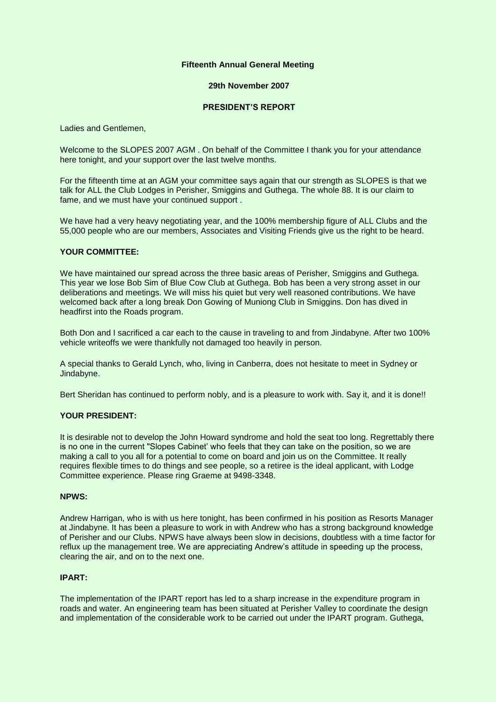## **Fifteenth Annual General Meeting**

## **29th November 2007**

# **PRESIDENT'S REPORT**

Ladies and Gentlemen,

Welcome to the SLOPES 2007 AGM, On behalf of the Committee I thank you for your attendance here tonight, and your support over the last twelve months.

For the fifteenth time at an AGM your committee says again that our strength as SLOPES is that we talk for ALL the Club Lodges in Perisher, Smiggins and Guthega. The whole 88. It is our claim to fame, and we must have your continued support .

We have had a very heavy negotiating year, and the 100% membership figure of ALL Clubs and the 55,000 people who are our members, Associates and Visiting Friends give us the right to be heard.

## **YOUR COMMITTEE:**

We have maintained our spread across the three basic areas of Perisher, Smiggins and Guthega. This year we lose Bob Sim of Blue Cow Club at Guthega. Bob has been a very strong asset in our deliberations and meetings. We will miss his quiet but very well reasoned contributions. We have welcomed back after a long break Don Gowing of Muniong Club in Smiggins. Don has dived in headfirst into the Roads program.

Both Don and I sacrificed a car each to the cause in traveling to and from Jindabyne. After two 100% vehicle writeoffs we were thankfully not damaged too heavily in person.

A special thanks to Gerald Lynch, who, living in Canberra, does not hesitate to meet in Sydney or Jindabyne.

Bert Sheridan has continued to perform nobly, and is a pleasure to work with. Say it, and it is done!!

# **YOUR PRESIDENT:**

It is desirable not to develop the John Howard syndrome and hold the seat too long. Regrettably there is no one in the current "Slopes Cabinet' who feels that they can take on the position, so we are making a call to you all for a potential to come on board and join us on the Committee. It really requires flexible times to do things and see people, so a retiree is the ideal applicant, with Lodge Committee experience. Please ring Graeme at 9498-3348.

#### **NPWS:**

Andrew Harrigan, who is with us here tonight, has been confirmed in his position as Resorts Manager at Jindabyne. It has been a pleasure to work in with Andrew who has a strong background knowledge of Perisher and our Clubs. NPWS have always been slow in decisions, doubtless with a time factor for reflux up the management tree. We are appreciating Andrew's attitude in speeding up the process, clearing the air, and on to the next one.

## **IPART:**

The implementation of the IPART report has led to a sharp increase in the expenditure program in roads and water. An engineering team has been situated at Perisher Valley to coordinate the design and implementation of the considerable work to be carried out under the IPART program. Guthega,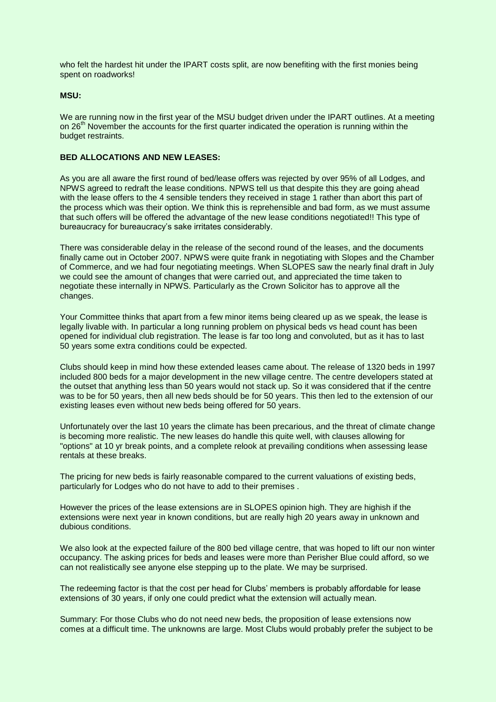who felt the hardest hit under the IPART costs split, are now benefiting with the first monies being spent on roadworks!

## **MSU:**

We are running now in the first year of the MSU budget driven under the IPART outlines. At a meeting on  $26<sup>th</sup>$  November the accounts for the first quarter indicated the operation is running within the budget restraints.

### **BED ALLOCATIONS AND NEW LEASES:**

As you are all aware the first round of bed/lease offers was rejected by over 95% of all Lodges, and NPWS agreed to redraft the lease conditions. NPWS tell us that despite this they are going ahead with the lease offers to the 4 sensible tenders they received in stage 1 rather than abort this part of the process which was their option. We think this is reprehensible and bad form, as we must assume that such offers will be offered the advantage of the new lease conditions negotiated!! This type of bureaucracy for bureaucracy's sake irritates considerably.

There was considerable delay in the release of the second round of the leases, and the documents finally came out in October 2007. NPWS were quite frank in negotiating with Slopes and the Chamber of Commerce, and we had four negotiating meetings. When SLOPES saw the nearly final draft in July we could see the amount of changes that were carried out, and appreciated the time taken to negotiate these internally in NPWS. Particularly as the Crown Solicitor has to approve all the changes.

Your Committee thinks that apart from a few minor items being cleared up as we speak, the lease is legally livable with. In particular a long running problem on physical beds vs head count has been opened for individual club registration. The lease is far too long and convoluted, but as it has to last 50 years some extra conditions could be expected.

Clubs should keep in mind how these extended leases came about. The release of 1320 beds in 1997 included 800 beds for a major development in the new village centre. The centre developers stated at the outset that anything less than 50 years would not stack up. So it was considered that if the centre was to be for 50 years, then all new beds should be for 50 years. This then led to the extension of our existing leases even without new beds being offered for 50 years.

Unfortunately over the last 10 years the climate has been precarious, and the threat of climate change is becoming more realistic. The new leases do handle this quite well, with clauses allowing for "options" at 10 yr break points, and a complete relook at prevailing conditions when assessing lease rentals at these breaks.

The pricing for new beds is fairly reasonable compared to the current valuations of existing beds, particularly for Lodges who do not have to add to their premises .

However the prices of the lease extensions are in SLOPES opinion high. They are highish if the extensions were next year in known conditions, but are really high 20 years away in unknown and dubious conditions.

We also look at the expected failure of the 800 bed village centre, that was hoped to lift our non winter occupancy. The asking prices for beds and leases were more than Perisher Blue could afford, so we can not realistically see anyone else stepping up to the plate. We may be surprised.

The redeeming factor is that the cost per head for Clubs' members is probably affordable for lease extensions of 30 years, if only one could predict what the extension will actually mean.

Summary: For those Clubs who do not need new beds, the proposition of lease extensions now comes at a difficult time. The unknowns are large. Most Clubs would probably prefer the subject to be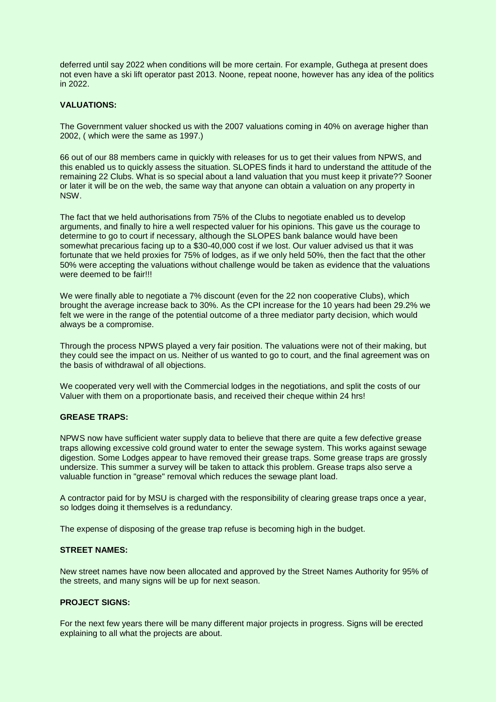deferred until say 2022 when conditions will be more certain. For example, Guthega at present does not even have a ski lift operator past 2013. Noone, repeat noone, however has any idea of the politics in 2022.

## **VALUATIONS:**

The Government valuer shocked us with the 2007 valuations coming in 40% on average higher than 2002, ( which were the same as 1997.)

66 out of our 88 members came in quickly with releases for us to get their values from NPWS, and this enabled us to quickly assess the situation. SLOPES finds it hard to understand the attitude of the remaining 22 Clubs. What is so special about a land valuation that you must keep it private?? Sooner or later it will be on the web, the same way that anyone can obtain a valuation on any property in NSW.

The fact that we held authorisations from 75% of the Clubs to negotiate enabled us to develop arguments, and finally to hire a well respected valuer for his opinions. This gave us the courage to determine to go to court if necessary, although the SLOPES bank balance would have been somewhat precarious facing up to a \$30-40,000 cost if we lost. Our valuer advised us that it was fortunate that we held proxies for 75% of lodges, as if we only held 50%, then the fact that the other 50% were accepting the valuations without challenge would be taken as evidence that the valuations were deemed to be fair!!!

We were finally able to negotiate a 7% discount (even for the 22 non cooperative Clubs), which brought the average increase back to 30%. As the CPI increase for the 10 years had been 29.2% we felt we were in the range of the potential outcome of a three mediator party decision, which would always be a compromise.

Through the process NPWS played a very fair position. The valuations were not of their making, but they could see the impact on us. Neither of us wanted to go to court, and the final agreement was on the basis of withdrawal of all objections.

We cooperated very well with the Commercial lodges in the negotiations, and split the costs of our Valuer with them on a proportionate basis, and received their cheque within 24 hrs!

## **GREASE TRAPS:**

NPWS now have sufficient water supply data to believe that there are quite a few defective grease traps allowing excessive cold ground water to enter the sewage system. This works against sewage digestion. Some Lodges appear to have removed their grease traps. Some grease traps are grossly undersize. This summer a survey will be taken to attack this problem. Grease traps also serve a valuable function in "grease" removal which reduces the sewage plant load.

A contractor paid for by MSU is charged with the responsibility of clearing grease traps once a year, so lodges doing it themselves is a redundancy.

The expense of disposing of the grease trap refuse is becoming high in the budget.

## **STREET NAMES:**

New street names have now been allocated and approved by the Street Names Authority for 95% of the streets, and many signs will be up for next season.

# **PROJECT SIGNS:**

For the next few years there will be many different major projects in progress. Signs will be erected explaining to all what the projects are about.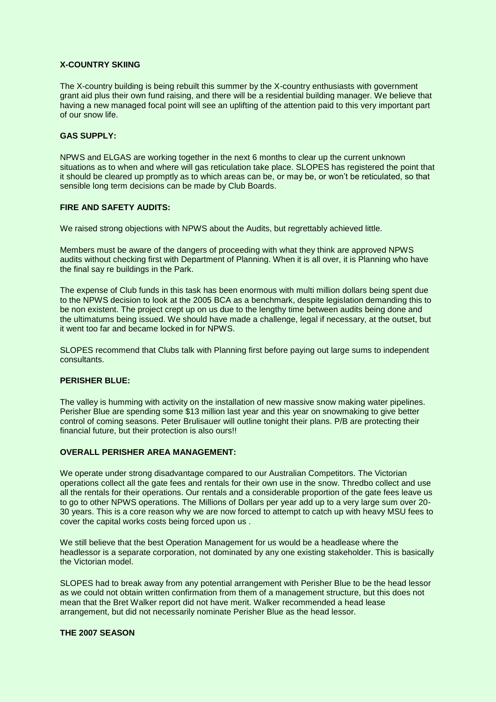# **X-COUNTRY SKIING**

The X-country building is being rebuilt this summer by the X-country enthusiasts with government grant aid plus their own fund raising, and there will be a residential building manager. We believe that having a new managed focal point will see an uplifting of the attention paid to this very important part of our snow life.

## **GAS SUPPLY:**

NPWS and ELGAS are working together in the next 6 months to clear up the current unknown situations as to when and where will gas reticulation take place. SLOPES has registered the point that it should be cleared up promptly as to which areas can be, or may be, or won't be reticulated, so that sensible long term decisions can be made by Club Boards.

## **FIRE AND SAFETY AUDITS:**

We raised strong objections with NPWS about the Audits, but regrettably achieved little.

Members must be aware of the dangers of proceeding with what they think are approved NPWS audits without checking first with Department of Planning. When it is all over, it is Planning who have the final say re buildings in the Park.

The expense of Club funds in this task has been enormous with multi million dollars being spent due to the NPWS decision to look at the 2005 BCA as a benchmark, despite legislation demanding this to be non existent. The project crept up on us due to the lengthy time between audits being done and the ultimatums being issued. We should have made a challenge, legal if necessary, at the outset, but it went too far and became locked in for NPWS.

SLOPES recommend that Clubs talk with Planning first before paying out large sums to independent consultants.

# **PERISHER BLUE:**

The valley is humming with activity on the installation of new massive snow making water pipelines. Perisher Blue are spending some \$13 million last year and this year on snowmaking to give better control of coming seasons. Peter Brulisauer will outline tonight their plans. P/B are protecting their financial future, but their protection is also ours!!

# **OVERALL PERISHER AREA MANAGEMENT:**

We operate under strong disadvantage compared to our Australian Competitors. The Victorian operations collect all the gate fees and rentals for their own use in the snow. Thredbo collect and use all the rentals for their operations. Our rentals and a considerable proportion of the gate fees leave us to go to other NPWS operations. The Millions of Dollars per year add up to a very large sum over 20- 30 years. This is a core reason why we are now forced to attempt to catch up with heavy MSU fees to cover the capital works costs being forced upon us .

We still believe that the best Operation Management for us would be a headlease where the headlessor is a separate corporation, not dominated by any one existing stakeholder. This is basically the Victorian model.

SLOPES had to break away from any potential arrangement with Perisher Blue to be the head lessor as we could not obtain written confirmation from them of a management structure, but this does not mean that the Bret Walker report did not have merit. Walker recommended a head lease arrangement, but did not necessarily nominate Perisher Blue as the head lessor.

#### **THE 2007 SEASON**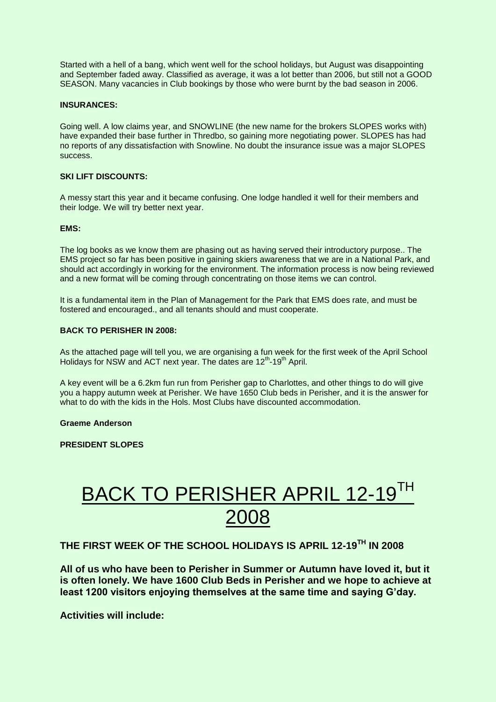Started with a hell of a bang, which went well for the school holidays, but August was disappointing and September faded away. Classified as average, it was a lot better than 2006, but still not a GOOD SEASON. Many vacancies in Club bookings by those who were burnt by the bad season in 2006.

# **INSURANCES:**

Going well. A low claims year, and SNOWLINE (the new name for the brokers SLOPES works with) have expanded their base further in Thredbo, so gaining more negotiating power. SLOPES has had no reports of any dissatisfaction with Snowline. No doubt the insurance issue was a major SLOPES success.

# **SKI LIFT DISCOUNTS:**

A messy start this year and it became confusing. One lodge handled it well for their members and their lodge. We will try better next year.

## **EMS:**

The log books as we know them are phasing out as having served their introductory purpose.. The EMS project so far has been positive in gaining skiers awareness that we are in a National Park, and should act accordingly in working for the environment. The information process is now being reviewed and a new format will be coming through concentrating on those items we can control.

It is a fundamental item in the Plan of Management for the Park that EMS does rate, and must be fostered and encouraged., and all tenants should and must cooperate.

## **BACK TO PERISHER IN 2008:**

As the attached page will tell you, we are organising a fun week for the first week of the April School Holidays for NSW and ACT next year. The dates are 12<sup>th</sup>-19<sup>th</sup> April.

A key event will be a 6.2km fun run from Perisher gap to Charlottes, and other things to do will give you a happy autumn week at Perisher. We have 1650 Club beds in Perisher, and it is the answer for what to do with the kids in the Hols. Most Clubs have discounted accommodation.

## **Graeme Anderson**

**PRESIDENT SLOPES**

# BACK TO PERISHER APRIL 12-19TH 2008

**THE FIRST WEEK OF THE SCHOOL HOLIDAYS IS APRIL 12-19TH IN 2008**

**All of us who have been to Perisher in Summer or Autumn have loved it, but it is often lonely. We have 1600 Club Beds in Perisher and we hope to achieve at least 1200 visitors enjoying themselves at the same time and saying G'day.**

**Activities will include:**